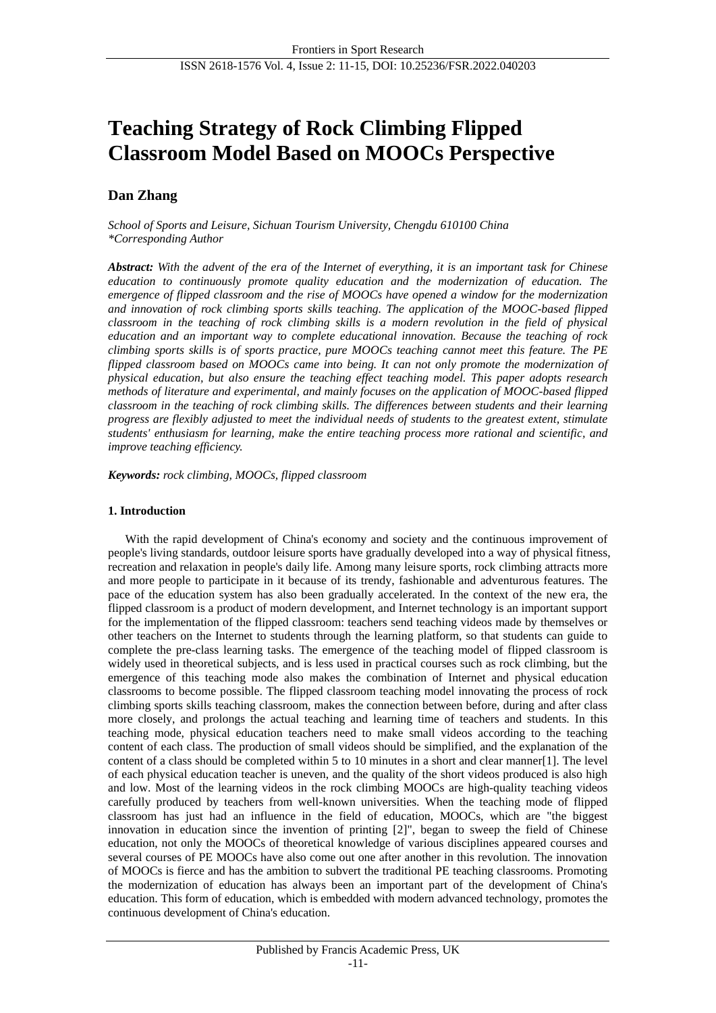# **Teaching Strategy of Rock Climbing Flipped Classroom Model Based on MOOCs Perspective**

# **Dan Zhang**

*School of Sports and Leisure, Sichuan Tourism University, Chengdu 610100 China \*Corresponding Author*

*Abstract: With the advent of the era of the Internet of everything, it is an important task for Chinese education to continuously promote quality education and the modernization of education. The emergence of flipped classroom and the rise of MOOCs have opened a window for the modernization and innovation of rock climbing sports skills teaching. The application of the MOOC-based flipped classroom in the teaching of rock climbing skills is a modern revolution in the field of physical education and an important way to complete educational innovation. Because the teaching of rock climbing sports skills is of sports practice, pure MOOCs teaching cannot meet this feature. The PE flipped classroom based on MOOCs came into being. It can not only promote the modernization of physical education, but also ensure the teaching effect teaching model. This paper adopts research methods of literature and experimental, and mainly focuses on the application of MOOC-based flipped classroom in the teaching of rock climbing skills. The differences between students and their learning progress are flexibly adjusted to meet the individual needs of students to the greatest extent, stimulate students' enthusiasm for learning, make the entire teaching process more rational and scientific, and improve teaching efficiency.*

*Keywords: rock climbing, MOOCs, flipped classroom*

# **1. Introduction**

With the rapid development of China's economy and society and the continuous improvement of people's living standards, outdoor leisure sports have gradually developed into a way of physical fitness, recreation and relaxation in people's daily life. Among many leisure sports, rock climbing attracts more and more people to participate in it because of its trendy, fashionable and adventurous features. The pace of the education system has also been gradually accelerated. In the context of the new era, the flipped classroom is a product of modern development, and Internet technology is an important support for the implementation of the flipped classroom: teachers send teaching videos made by themselves or other teachers on the Internet to students through the learning platform, so that students can guide to complete the pre-class learning tasks. The emergence of the teaching model of flipped classroom is widely used in theoretical subjects, and is less used in practical courses such as rock climbing, but the emergence of this teaching mode also makes the combination of Internet and physical education classrooms to become possible. The flipped classroom teaching model innovating the process of rock climbing sports skills teaching classroom, makes the connection between before, during and after class more closely, and prolongs the actual teaching and learning time of teachers and students. In this teaching mode, physical education teachers need to make small videos according to the teaching content of each class. The production of small videos should be simplified, and the explanation of the content of a class should be completed within 5 to 10 minutes in a short and clear manner[1]. The level of each physical education teacher is uneven, and the quality of the short videos produced is also high and low. Most of the learning videos in the rock climbing MOOCs are high-quality teaching videos carefully produced by teachers from well-known universities. When the teaching mode of flipped classroom has just had an influence in the field of education, MOOCs, which are "the biggest innovation in education since the invention of printing [2]", began to sweep the field of Chinese education, not only the MOOCs of theoretical knowledge of various disciplines appeared courses and several courses of PE MOOCs have also come out one after another in this revolution. The innovation of MOOCs is fierce and has the ambition to subvert the traditional PE teaching classrooms. Promoting the modernization of education has always been an important part of the development of China's education. This form of education, which is embedded with modern advanced technology, promotes the continuous development of China's education.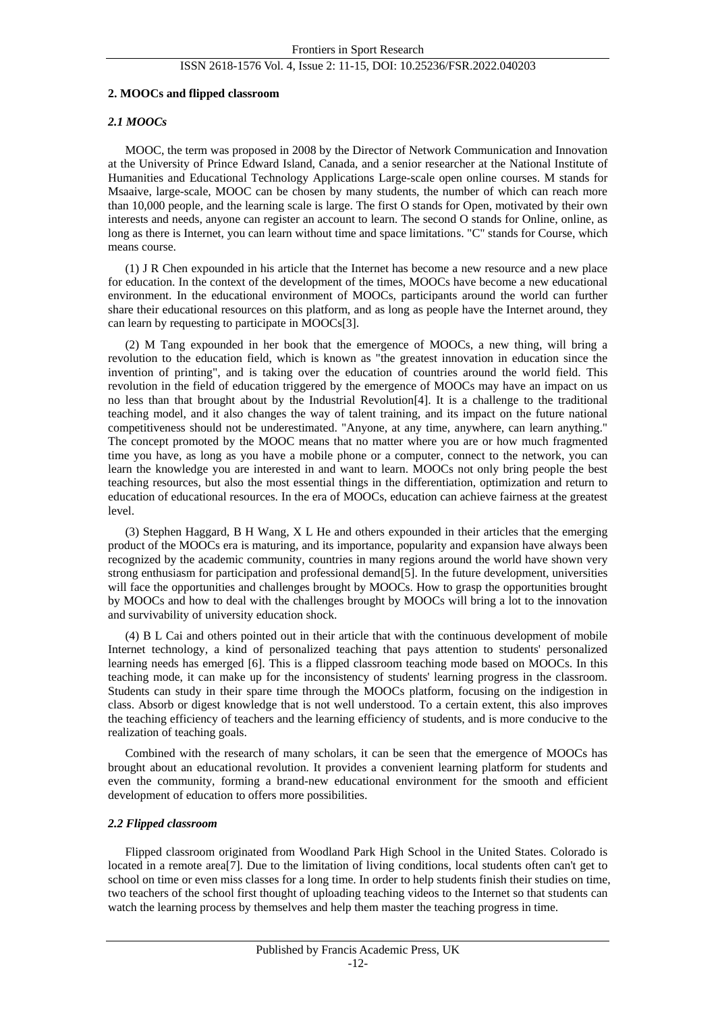### ISSN 2618-1576 Vol. 4, Issue 2: 11-15, DOI: 10.25236/FSR.2022.040203

#### **2. MOOCs and flipped classroom**

#### *2.1 MOOCs*

MOOC, the term was proposed in 2008 by the Director of Network Communication and Innovation at the University of Prince Edward Island, Canada, and a senior researcher at the National Institute of Humanities and Educational Technology Applications Large-scale open online courses. M stands for Msaaive, large-scale, MOOC can be chosen by many students, the number of which can reach more than 10,000 people, and the learning scale is large. The first O stands for Open, motivated by their own interests and needs, anyone can register an account to learn. The second O stands for Online, online, as long as there is Internet, you can learn without time and space limitations. "C" stands for Course, which means course.

(1) J R Chen expounded in his article that the Internet has become a new resource and a new place for education. In the context of the development of the times, MOOCs have become a new educational environment. In the educational environment of MOOCs, participants around the world can further share their educational resources on this platform, and as long as people have the Internet around, they can learn by requesting to participate in MOOCs[3].

(2) M Tang expounded in her book that the emergence of MOOCs, a new thing, will bring a revolution to the education field, which is known as "the greatest innovation in education since the invention of printing", and is taking over the education of countries around the world field. This revolution in the field of education triggered by the emergence of MOOCs may have an impact on us no less than that brought about by the Industrial Revolution[4]. It is a challenge to the traditional teaching model, and it also changes the way of talent training, and its impact on the future national competitiveness should not be underestimated. "Anyone, at any time, anywhere, can learn anything." The concept promoted by the MOOC means that no matter where you are or how much fragmented time you have, as long as you have a mobile phone or a computer, connect to the network, you can learn the knowledge you are interested in and want to learn. MOOCs not only bring people the best teaching resources, but also the most essential things in the differentiation, optimization and return to education of educational resources. In the era of MOOCs, education can achieve fairness at the greatest level.

(3) Stephen Haggard, B H Wang, X L He and others expounded in their articles that the emerging product of the MOOCs era is maturing, and its importance, popularity and expansion have always been recognized by the academic community, countries in many regions around the world have shown very strong enthusiasm for participation and professional demand[5]. In the future development, universities will face the opportunities and challenges brought by MOOCs. How to grasp the opportunities brought by MOOCs and how to deal with the challenges brought by MOOCs will bring a lot to the innovation and survivability of university education shock.

(4) B L Cai and others pointed out in their article that with the continuous development of mobile Internet technology, a kind of personalized teaching that pays attention to students' personalized learning needs has emerged [6]. This is a flipped classroom teaching mode based on MOOCs. In this teaching mode, it can make up for the inconsistency of students' learning progress in the classroom. Students can study in their spare time through the MOOCs platform, focusing on the indigestion in class. Absorb or digest knowledge that is not well understood. To a certain extent, this also improves the teaching efficiency of teachers and the learning efficiency of students, and is more conducive to the realization of teaching goals.

Combined with the research of many scholars, it can be seen that the emergence of MOOCs has brought about an educational revolution. It provides a convenient learning platform for students and even the community, forming a brand-new educational environment for the smooth and efficient development of education to offers more possibilities.

#### *2.2 Flipped classroom*

Flipped classroom originated from Woodland Park High School in the United States. Colorado is located in a remote area<sup>[7]</sup>. Due to the limitation of living conditions, local students often can't get to school on time or even miss classes for a long time. In order to help students finish their studies on time, two teachers of the school first thought of uploading teaching videos to the Internet so that students can watch the learning process by themselves and help them master the teaching progress in time.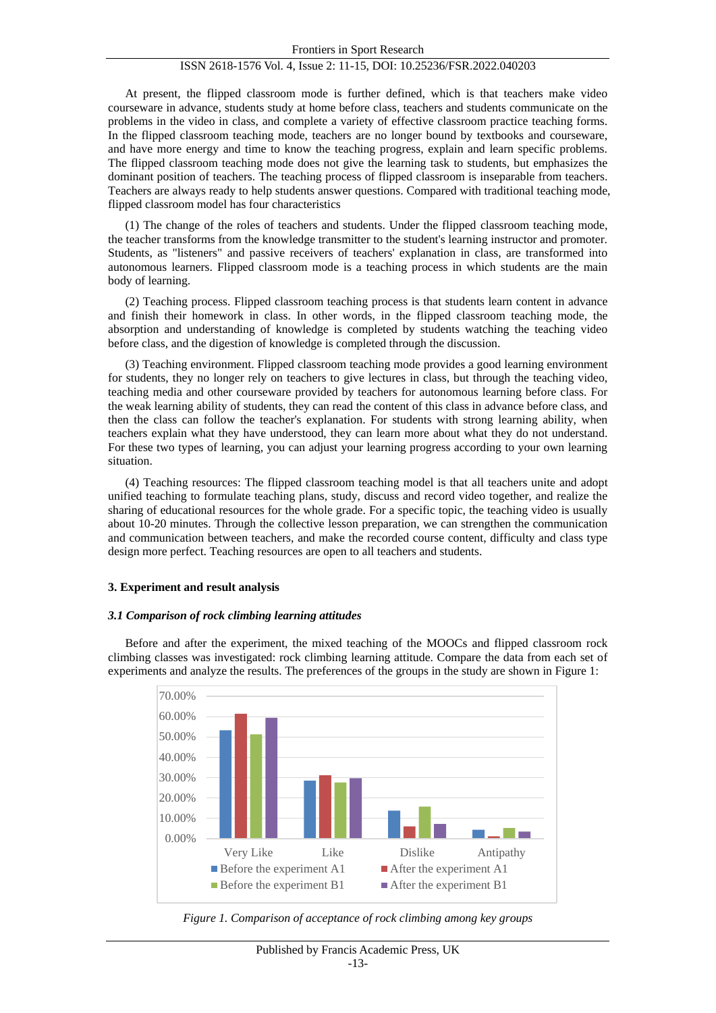#### Frontiers in Sport Research

# ISSN 2618-1576 Vol. 4, Issue 2: 11-15, DOI: 10.25236/FSR.2022.040203

At present, the flipped classroom mode is further defined, which is that teachers make video courseware in advance, students study at home before class, teachers and students communicate on the problems in the video in class, and complete a variety of effective classroom practice teaching forms. In the flipped classroom teaching mode, teachers are no longer bound by textbooks and courseware, and have more energy and time to know the teaching progress, explain and learn specific problems. The flipped classroom teaching mode does not give the learning task to students, but emphasizes the dominant position of teachers. The teaching process of flipped classroom is inseparable from teachers. Teachers are always ready to help students answer questions. Compared with traditional teaching mode, flipped classroom model has four characteristics

(1) The change of the roles of teachers and students. Under the flipped classroom teaching mode, the teacher transforms from the knowledge transmitter to the student's learning instructor and promoter. Students, as "listeners" and passive receivers of teachers' explanation in class, are transformed into autonomous learners. Flipped classroom mode is a teaching process in which students are the main body of learning.

(2) Teaching process. Flipped classroom teaching process is that students learn content in advance and finish their homework in class. In other words, in the flipped classroom teaching mode, the absorption and understanding of knowledge is completed by students watching the teaching video before class, and the digestion of knowledge is completed through the discussion.

(3) Teaching environment. Flipped classroom teaching mode provides a good learning environment for students, they no longer rely on teachers to give lectures in class, but through the teaching video, teaching media and other courseware provided by teachers for autonomous learning before class. For the weak learning ability of students, they can read the content of this class in advance before class, and then the class can follow the teacher's explanation. For students with strong learning ability, when teachers explain what they have understood, they can learn more about what they do not understand. For these two types of learning, you can adjust your learning progress according to your own learning situation.

(4) Teaching resources: The flipped classroom teaching model is that all teachers unite and adopt unified teaching to formulate teaching plans, study, discuss and record video together, and realize the sharing of educational resources for the whole grade. For a specific topic, the teaching video is usually about 10-20 minutes. Through the collective lesson preparation, we can strengthen the communication and communication between teachers, and make the recorded course content, difficulty and class type design more perfect. Teaching resources are open to all teachers and students.

#### **3. Experiment and result analysis**

#### *3.1 Comparison of rock climbing learning attitudes*

Before and after the experiment, the mixed teaching of the MOOCs and flipped classroom rock climbing classes was investigated: rock climbing learning attitude. Compare the data from each set of experiments and analyze the results. The preferences of the groups in the study are shown in Figure 1:



*Figure 1. Comparison of acceptance of rock climbing among key groups*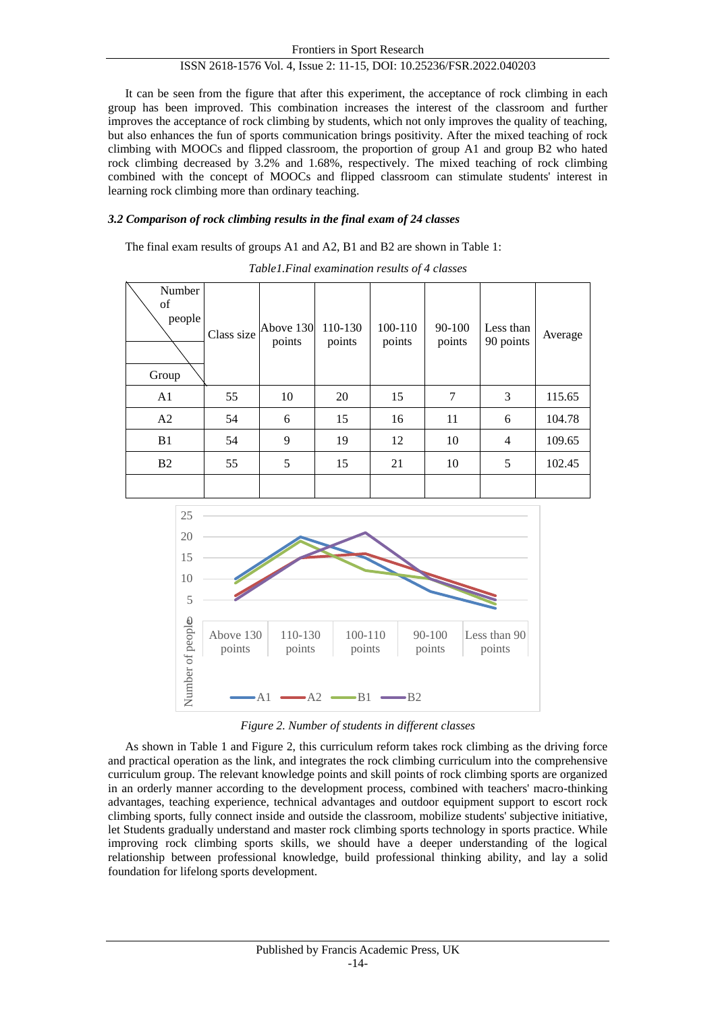# ISSN 2618-1576 Vol. 4, Issue 2: 11-15, DOI: 10.25236/FSR.2022.040203

It can be seen from the figure that after this experiment, the acceptance of rock climbing in each group has been improved. This combination increases the interest of the classroom and further improves the acceptance of rock climbing by students, which not only improves the quality of teaching, but also enhances the fun of sports communication brings positivity. After the mixed teaching of rock climbing with MOOCs and flipped classroom, the proportion of group A1 and group B2 who hated rock climbing decreased by 3.2% and 1.68%, respectively. The mixed teaching of rock climbing combined with the concept of MOOCs and flipped classroom can stimulate students' interest in learning rock climbing more than ordinary teaching.

### *3.2 Comparison of rock climbing results in the final exam of 24 classes*

The final exam results of groups A1 and A2, B1 and B2 are shown in Table 1:

| Number<br>of<br>people<br>Group | Class size | Above 130<br>points | 110-130<br>points | 100-110<br>points | 90-100<br>points | Less than<br>90 points | Average |
|---------------------------------|------------|---------------------|-------------------|-------------------|------------------|------------------------|---------|
| A <sub>1</sub>                  | 55         | 10                  | 20                | 15                | 7                | 3                      | 115.65  |
| A2                              | 54         | 6                   | 15                | 16                | 11               | 6                      | 104.78  |
| B1                              | 54         | 9                   | 19                | 12                | 10               | 4                      | 109.65  |
| B2                              | 55         | 5                   | 15                | 21                | 10               | 5                      | 102.45  |
|                                 |            |                     |                   |                   |                  |                        |         |

*Table1.Final examination results of 4 classes*



*Figure 2. Number of students in different classes*

As shown in Table 1 and Figure 2, this curriculum reform takes rock climbing as the driving force and practical operation as the link, and integrates the rock climbing curriculum into the comprehensive curriculum group. The relevant knowledge points and skill points of rock climbing sports are organized in an orderly manner according to the development process, combined with teachers' macro-thinking advantages, teaching experience, technical advantages and outdoor equipment support to escort rock climbing sports, fully connect inside and outside the classroom, mobilize students' subjective initiative, let Students gradually understand and master rock climbing sports technology in sports practice. While improving rock climbing sports skills, we should have a deeper understanding of the logical relationship between professional knowledge, build professional thinking ability, and lay a solid foundation for lifelong sports development.